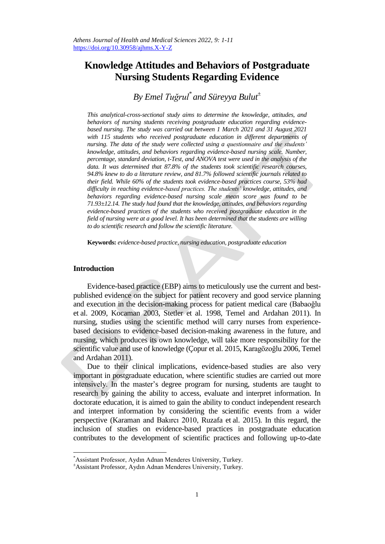# **Knowledge Attitudes and Behaviors of Postgraduate Nursing Students Regarding Evidence**

# *By Emel Tuğrul\* and Süreyya Bulut<sup>±</sup>*

*This analytical-cross-sectional study aims to determine the knowledge, attitudes, and behaviors of nursing students receiving postgraduate education regarding evidencebased nursing. The study was carried out between 1 March 2021 and 31 August 2021*  with 115 students who received postgraduate education in different departments of *nursing. The data of the study were collected using a questionnaire and the students' knowledge, attitudes, and behaviors regarding evidence-based nursing scale. Number, percentage, standard deviation, t-Test, and ANOVA test were used in the analysis of the data. It was determined that 87.8% of the students took scientific research courses, 94.8% knew to do a literature review, and 81.7% followed scientific journals related to their field. While 60% of the students took evidence-based practices course, 53% had difficulty in reaching evidence-based practices. The students' knowledge, attitudes, and behaviors regarding evidence-based nursing scale mean score was found to be 71.93±12.14. The study had found that the knowledge, attitudes, and behaviors regarding evidence-based practices of the students who received postgraduate education in the field of nursing were at a good level. It has been determined that the students are willing to do scientific research and follow the scientific literature.*

**Keywords:** *evidence-based practice, nursing education, postgraduate education*

## **Introduction**

l

Evidence-based practice (EBP) aims to meticulously use the current and bestpublished evidence on the subject for patient recovery and good service planning and execution in the decision-making process for patient medical care (Babaoğlu et al. 2009, Kocaman 2003, Stetler et al. 1998, Temel and Ardahan 2011). In nursing, studies using the scientific method will carry nurses from experiencebased decisions to evidence-based decision-making awareness in the future, and nursing, which produces its own knowledge, will take more responsibility for the scientific value and use of knowledge (Çopur et al. 2015, Karagözoğlu 2006, Temel and Ardahan 2011).

Due to their clinical implications, evidence-based studies are also very important in postgraduate education, where scientific studies are carried out more intensively. In the master's degree program for nursing, students are taught to research by gaining the ability to access, evaluate and interpret information. In doctorate education, it is aimed to gain the ability to conduct independent research and interpret information by considering the scientific events from a wider perspective (Karaman and Bakırcı 2010, Ruzafa et al. 2015). In this regard, the inclusion of studies on evidence-based practices in postgraduate education contributes to the development of scientific practices and following up-to-date

<sup>\*</sup>Assistant Professor, Aydın Adnan Menderes University, Turkey.

<sup>±</sup>Assistant Professor, Aydın Adnan Menderes University, Turkey.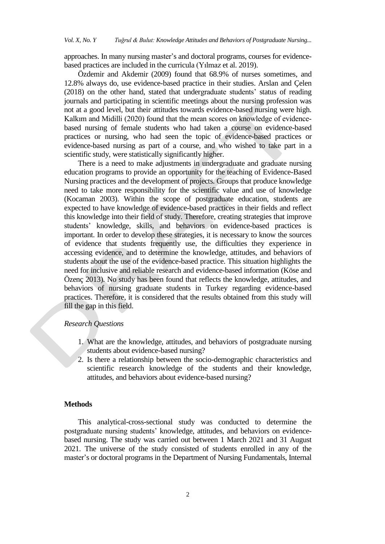approaches. In many nursing master's and doctoral programs, courses for evidencebased practices are included in the curricula (Yılmaz et al. 2019).

Özdemir and Akdemir (2009) found that 68.9% of nurses sometimes, and 12.8% always do, use evidence-based practice in their studies. Arslan and Çelen (2018) on the other hand, stated that undergraduate students' status of reading journals and participating in scientific meetings about the nursing profession was not at a good level, but their attitudes towards evidence-based nursing were high. Kalkım and Midilli (2020) found that the mean scores on knowledge of evidencebased nursing of female students who had taken a course on evidence-based practices or nursing, who had seen the topic of evidence-based practices or evidence-based nursing as part of a course, and who wished to take part in a scientific study, were statistically significantly higher.

There is a need to make adjustments in undergraduate and graduate nursing education programs to provide an opportunity for the teaching of Evidence-Based Nursing practices and the development of projects. Groups that produce knowledge need to take more responsibility for the scientific value and use of knowledge (Kocaman 2003). Within the scope of postgraduate education, students are expected to have knowledge of evidence-based practices in their fields and reflect this knowledge into their field of study. Therefore, creating strategies that improve students' knowledge, skills, and behaviors on evidence-based practices is important. In order to develop these strategies, it is necessary to know the sources of evidence that students frequently use, the difficulties they experience in accessing evidence, and to determine the knowledge, attitudes, and behaviors of students about the use of the evidence-based practice. This situation highlights the need for inclusive and reliable research and evidence-based information (Köse and Özenç 2013). No study has been found that reflects the knowledge, attitudes, and behaviors of nursing graduate students in Turkey regarding evidence-based practices. Therefore, it is considered that the results obtained from this study will fill the gap in this field.

## *Research Questions*

- 1. What are the knowledge, attitudes, and behaviors of postgraduate nursing students about evidence-based nursing?
- 2. Is there a relationship between the socio-demographic characteristics and scientific research knowledge of the students and their knowledge, attitudes, and behaviors about evidence-based nursing?

#### **Methods**

This analytical-cross-sectional study was conducted to determine the postgraduate nursing students' knowledge, attitudes, and behaviors on evidencebased nursing. The study was carried out between 1 March 2021 and 31 August 2021. The universe of the study consisted of students enrolled in any of the master's or doctoral programs in the Department of Nursing Fundamentals, Internal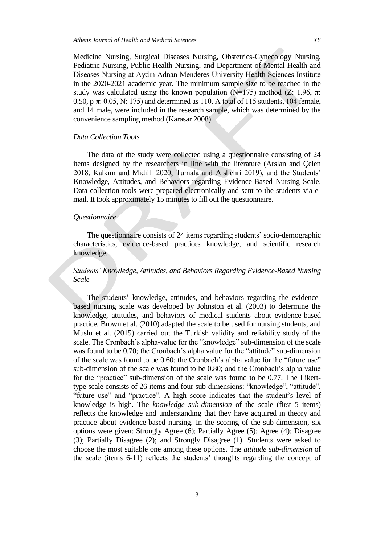Medicine Nursing, Surgical Diseases Nursing, Obstetrics-Gynecology Nursing, Pediatric Nursing, Public Health Nursing, and Department of Mental Health and Diseases Nursing at Aydın Adnan Menderes University Health Sciences Institute in the 2020-2021 academic year. The minimum sample size to be reached in the study was calculated using the known population (N=175) method (Z: 1.96,  $\pi$ : 0.50, p-π: 0.05, N: 175) and determined as 110. A total of 115 students, 104 female, and 14 male, were included in the research sample, which was determined by the convenience sampling method (Karasar 2008).

#### *Data Collection Tools*

The data of the study were collected using a questionnaire consisting of 24 items designed by the researchers in line with the literature (Arslan and Çelen 2018, Kalkım and Midilli 2020, Tumala and Alshehri 2019), and the Students' Knowledge, Attitudes, and Behaviors regarding Evidence-Based Nursing Scale. Data collection tools were prepared electronically and sent to the students via email. It took approximately 15 minutes to fill out the questionnaire.

#### *Questionnaire*

The questionnaire consists of 24 items regarding students' socio-demographic characteristics, evidence-based practices knowledge, and scientific research knowledge.

# *Students' Knowledge, Attitudes, and Behaviors Regarding Evidence-Based Nursing Scale*

The students' knowledge, attitudes, and behaviors regarding the evidencebased nursing scale was developed by Johnston et al. (2003) to determine the knowledge, attitudes, and behaviors of medical students about evidence-based practice. Brown et al. (2010) adapted the scale to be used for nursing students, and Muslu et al. (2015) carried out the Turkish validity and reliability study of the scale. The Cronbach's alpha-value for the "knowledge" sub-dimension of the scale was found to be 0.70; the Cronbach's alpha value for the "attitude" sub-dimension of the scale was found to be 0.60; the Cronbach's alpha value for the "future use" sub-dimension of the scale was found to be 0.80; and the Cronbach's alpha value for the "practice" sub-dimension of the scale was found to be 0.77. The Likerttype scale consists of 26 items and four sub-dimensions: "knowledge", "attitude", "future use" and "practice". A high score indicates that the student's level of knowledge is high. The *knowledge sub-dimension* of the scale (first 5 items) reflects the knowledge and understanding that they have acquired in theory and practice about evidence-based nursing. In the scoring of the sub-dimension, six options were given: Strongly Agree (6); Partially Agree (5); Agree (4); Disagree (3); Partially Disagree (2); and Strongly Disagree (1). Students were asked to choose the most suitable one among these options. The *attitude sub-dimension* of the scale (items 6-11) reflects the students' thoughts regarding the concept of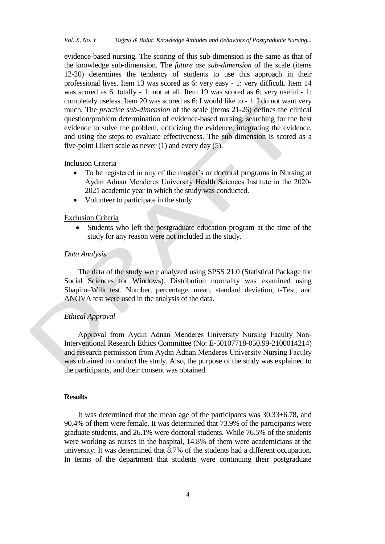evidence-based nursing. The scoring of this sub-dimension is the same as that of the knowledge sub-dimension. The *future use sub-dimension* of the scale (items 12-20) determines the tendency of students to use this approach in their professional lives. Item 13 was scored as 6: very easy - 1: very difficult. Item 14 was scored as 6: totally - 1: not at all. Item 19 was scored as 6: very useful - 1: completely useless. Item 20 was scored as 6: I would like to - 1: I do not want very much. The *practice sub-dimension* of the scale (items 21-26) defines the clinical question/problem determination of evidence-based nursing, searching for the best evidence to solve the problem, criticizing the evidence, integrating the evidence, and using the steps to evaluate effectiveness. The sub-dimension is scored as a five-point Likert scale as never (1) and every day (5).

#### Inclusion Criteria

- To be registered in any of the master's or doctoral programs in Nursing at Aydın Adnan Menderes University Health Sciences Institute in the 2020- 2021 academic year in which the study was conducted.
- Volunteer to participate in the study

## Exclusion Criteria

 Students who left the postgraduate education program at the time of the study for any reason were not included in the study.

# *Data Analysis*

The data of the study were analyzed using SPSS 21.0 (Statistical Package for Social Sciences for Windows). Distribution normality was examined using Shapiro–Wilk test. Number, percentage, mean, standard deviation, t-Test, and ANOVA test were used in the analysis of the data.

# *Ethical Approval*

Approval from Aydın Adnan Menderes University Nursing Faculty Non-Interventional Research Ethics Committee (No: E-50107718-050.99-2100014214) and research permission from Aydın Adnan Menderes University Nursing Faculty was obtained to conduct the study. Also, the purpose of the study was explained to the participants, and their consent was obtained.

#### **Results**

It was determined that the mean age of the participants was 30.33±6.78, and 90.4% of them were female. It was determined that 73.9% of the participants were graduate students, and 26.1% were doctoral students. While 76.5% of the students were working as nurses in the hospital, 14.8% of them were academicians at the university. It was determined that 8.7% of the students had a different occupation. In terms of the department that students were continuing their postgraduate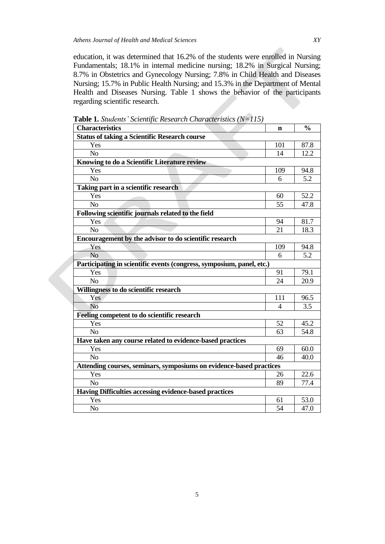education, it was determined that 16.2% of the students were enrolled in Nursing Fundamentals; 18.1% in internal medicine nursing; 18.2% in Surgical Nursing; 8.7% in Obstetrics and Gynecology Nursing; 7.8% in Child Health and Diseases Nursing; 15.7% in Public Health Nursing; and 15.3% in the Department of Mental Health and Diseases Nursing. Table 1 shows the behavior of the participants regarding scientific research.

| <b>Characteristics</b>                                                | $\mathbf n$ | $\frac{0}{0}$     |  |  |  |  |
|-----------------------------------------------------------------------|-------------|-------------------|--|--|--|--|
| <b>Status of taking a Scientific Research course</b>                  |             |                   |  |  |  |  |
| Yes                                                                   | 101         | 87.8              |  |  |  |  |
| N <sub>o</sub>                                                        | 14          | 12.2              |  |  |  |  |
| Knowing to do a Scientific Literature review                          |             |                   |  |  |  |  |
| Yes                                                                   | 109         | 94.8              |  |  |  |  |
| N <sub>o</sub>                                                        | 6           | 5.2               |  |  |  |  |
| Taking part in a scientific research                                  |             |                   |  |  |  |  |
| Yes                                                                   | 60          | 52.2              |  |  |  |  |
| N <sub>o</sub>                                                        | 55          | 47.8              |  |  |  |  |
| Following scientific journals related to the field                    |             |                   |  |  |  |  |
| Yes                                                                   | 94          | 81.7              |  |  |  |  |
| N <sub>o</sub>                                                        | 21          | 18.3              |  |  |  |  |
| Encouragement by the advisor to do scientific research                |             |                   |  |  |  |  |
| Yes                                                                   | 109         | 94.8              |  |  |  |  |
| N <sub>o</sub>                                                        | 6           | 5.2               |  |  |  |  |
| Participating in scientific events (congress, symposium, panel, etc.) |             |                   |  |  |  |  |
| Yes                                                                   | 91          | 79.1              |  |  |  |  |
| N <sub>o</sub>                                                        | 24          | 20.9              |  |  |  |  |
| Willingness to do scientific research                                 |             |                   |  |  |  |  |
| Yes                                                                   | 111         | 96.5              |  |  |  |  |
| N <sub>o</sub>                                                        | 4           | 3.5               |  |  |  |  |
| Feeling competent to do scientific research                           |             |                   |  |  |  |  |
| Yes                                                                   | 52          | 45.2              |  |  |  |  |
| N <sub>o</sub>                                                        | 63          | $\overline{5}4.8$ |  |  |  |  |
| Have taken any course related to evidence-based practices             |             |                   |  |  |  |  |
| Yes                                                                   | 69          | 60.0              |  |  |  |  |
| N <sub>o</sub>                                                        | 46          | 40.0              |  |  |  |  |
| Attending courses, seminars, symposiums on evidence-based practices   |             |                   |  |  |  |  |
| Yes                                                                   | 26          | 22.6              |  |  |  |  |
| N <sub>o</sub>                                                        | 89          | 77.4              |  |  |  |  |
| Having Difficulties accessing evidence-based practices                |             |                   |  |  |  |  |
| Yes                                                                   | 61          | 53.0              |  |  |  |  |
| N <sub>o</sub>                                                        | 54          | 47.0              |  |  |  |  |

**Table 1.** *Students' Scientific Research Characteristics (N=115)*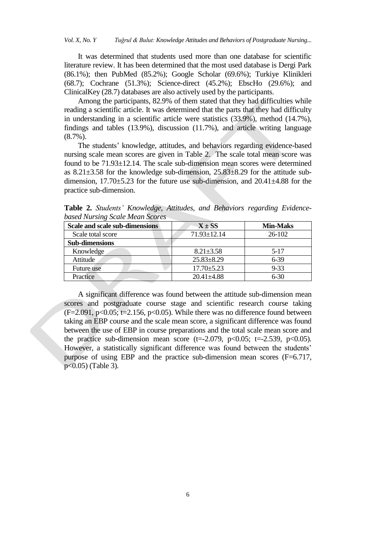It was determined that students used more than one database for scientific literature review. It has been determined that the most used database is Dergi Park (86.1%); then PubMed (85.2%); Google Scholar (69.6%); Turkiye Klinikleri (68.7); Cochrane (51.3%); Science-direct (45.2%); EbscHo (29.6%); and ClinicalKey (28.7) databases are also actively used by the participants.

Among the participants, 82.9% of them stated that they had difficulties while reading a scientific article. It was determined that the parts that they had difficulty in understanding in a scientific article were statistics (33.9%), method (14.7%), findings and tables (13.9%), discussion (11.7%), and article writing language (8.7%).

The students' knowledge, attitudes, and behaviors regarding evidence-based nursing scale mean scores are given in Table 2. The scale total mean score was found to be 71.93±12.14. The scale sub-dimension mean scores were determined as 8.21±3.58 for the knowledge sub-dimension, 25.83±8.29 for the attitude subdimension,  $17.70\pm5.23$  for the future use sub-dimension, and  $20.41\pm4.88$  for the practice sub-dimension.

**Table 2.** *Students' Knowledge, Attitudes, and Behaviors regarding Evidencebased Nursing Scale Mean Scores*

| Scale and scale sub-dimensions | $X \pm SS$       | <b>Min-Maks</b> |  |
|--------------------------------|------------------|-----------------|--|
| Scale total score              | 71.93±12.14      | 26-102          |  |
| <b>Sub-dimensions</b>          |                  |                 |  |
| Knowledge                      | $8.21 \pm 3.58$  | $5-17$          |  |
| Attitude                       | $25.83 \pm 8.29$ | $6 - 39$        |  |
| Future use                     | $17.70 \pm 5.23$ | $9 - 33$        |  |
| Practice                       | $20.41 \pm 4.88$ | $6-30$          |  |

A significant difference was found between the attitude sub-dimension mean scores and postgraduate course stage and scientific research course taking  $(F=2.091, p<0.05; t=2.156, p<0.05)$ . While there was no difference found between taking an EBP course and the scale mean score, a significant difference was found between the use of EBP in course preparations and the total scale mean score and the practice sub-dimension mean score (t=-2.079, p<0.05; t=-2.539, p<0.05). However, a statistically significant difference was found between the students' purpose of using EBP and the practice sub-dimension mean scores  $(F=6.717,$ p<0.05) (Table 3).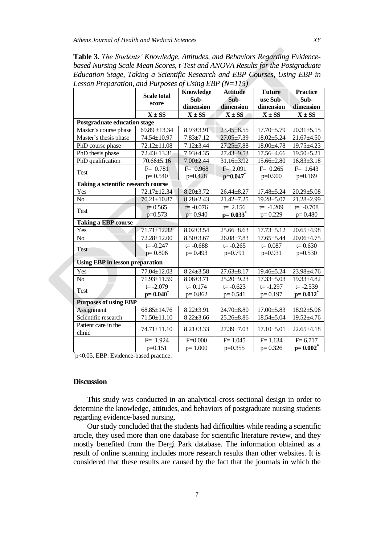**Table 3.** *The Students' Knowledge, Attitudes, and Behaviors Regarding Evidencebased Nursing Scale Mean Scores, t-Test and ANOVA Results for the Postgraduate Education Stage, Taking a Scientific Research and EBP Courses, Using EBP in Lesson Preparation, and Purposes of Using EBP (N=115)*

|                                        | <b>Scale total</b><br>score | Knowledge<br>Sub- | <b>Attitude</b><br>Sub- | <b>Future</b><br>use Sub- | <b>Practice</b><br>Sub- |
|----------------------------------------|-----------------------------|-------------------|-------------------------|---------------------------|-------------------------|
|                                        |                             | dimension         | dimension               | dimension                 | dimension               |
|                                        | $X \pm SS$                  | $X \pm SS$        | $X \pm SS$              | $X \pm SS$                | $X \pm SS$              |
| <b>Postgraduate education stage</b>    |                             |                   |                         |                           |                         |
| Master's course phase                  | $69.89 \pm 13.34$           | $8.93 \pm 3.91$   | $23.45 \pm 8.55$        | $17.70 \pm 5.79$          | $20.31 \pm 5.15$        |
| Master's thesis phase                  | 74.54±10.97                 | $7.83 \pm 7.12$   | $27.05 \pm 7.39$        | $18.02{\pm}5.24$          | $21.67 \pm 4.50$        |
| PhD course phase                       | 72.12±11.08                 | $7.12 \pm 3.44$   | $27.25 \pm 7.88$        | 18.00±4.78                | 19.75±4.23              |
| PhD thesis phase                       | 72.43±13.31                 | $7.93 \pm 4.35$   | $27.43 + 9.53$          | $17.56 \pm 4.66$          | $19.50 \pm 5.21$        |
| PhD qualification                      | $70.66 \pm 5.16$            | $7.00 \pm 2.44$   | $31.16 \pm 3.92$        | $15.66 \pm 2.80$          | $16.83 \pm 3.18$        |
| Test                                   | $F = 0.781$                 | $F = 0.968$       | $F = 2.091$             | $F = 0.265$               | $F = 1.643$             |
|                                        | $p=0.540$                   | p=0.428           | $p=0.047$ *             | $p=0.900$                 | $p=0.169$               |
| Taking a scientific research course    |                             |                   |                         |                           |                         |
| Yes                                    | 72.17±12.34                 | $8.20 \pm 3.72$   | $26.44 \pm 8.27$        | $17.48 \pm 5.24$          | $20.29 \pm 5.08$        |
| N <sub>o</sub>                         | $70.21 \pm 10.87$           | $8.28 \pm 2.43$   | $21.42 \pm 7.25$        | $19.28 + 5.07$            | 21.28±2.99              |
| Test                                   | $t = 0.565$                 | $t = -0.076$      | $t = 2.156$             | $t = -1.209$              | $t = -0.708$            |
|                                        | $p=0.573$                   | $p=0.940$         | $p=0.033^*$             | $p=0.229$                 | $p=0.480$               |
| <b>Taking a EBP course</b>             |                             |                   |                         |                           |                         |
| Yes                                    | $71.71 \pm 12.32$           | $8.02 \pm 3.54$   | $25.66 \pm 8.63$        | $17.73 \pm 5.12$          | $20.65 \pm 4.98$        |
| No                                     | 72.28±12.00                 | $8.50 \pm 3.67$   | $26.08 \pm 7.83$        | $17.65 \pm 5.44$          | $20.06 \pm 4.75$        |
| <b>Test</b>                            | $t = -0.247$                | $t = -0.688$      | $t = -0.265$            | $t = 0.087$               | $t = 0.630$             |
|                                        | $p=0.806$                   | $p=0.493$         | p=0.791                 | $p=0.931$                 | $p=0.530$               |
| <b>Using EBP in lesson preparation</b> |                             |                   |                         |                           |                         |
| Yes                                    | $77.04 \pm 12.03$           | $8.24 \pm 3.58$   | $27.63 \pm 8.17$        | 19.46±5.24                | $23.98 \pm 4.76$        |
| No                                     | 71.93±11.59                 | $8.06 \pm 3.71$   | 25.20±9.23              | $17.33 \pm 5.03$          | 19.33±4.82              |
| <b>Test</b>                            | $t = -2.079$                | $t = 0.174$       | $t = -0.623$            | $t = -1.297$              | $t = -2.539$            |
|                                        | $p=0.040^*$                 | $p=0.862$         | $p=0.541$               | $p = 0.197$               | $p=0.012^*$             |
| <b>Purposes of using EBP</b>           |                             |                   |                         |                           |                         |
| <b>Assignment</b>                      | $68.85 \pm 14.76$           | $8.22 \pm 3.91$   | 24.70±8.80              | $17.00 \pm 5.83$          | $18.92 \pm 5.06$        |
| Scientific research                    | $71.50 \pm 11.10$           | $8.22 \pm 3.66$   | $25.26 \pm 8.86$        | $18.54 \pm 5.04$          | $19.52{\pm}4.76$        |
| Patient care in the<br>clinic          | 74.71±11.10                 | $8.21 \pm 3.33$   | 27.39±7.03              | $17.10{\pm}5.01$          | $22.65 \pm 4.18$        |
|                                        | $F = 1.924$                 | $F = 0.000$       | $F = 1.045$             | $F = 1.134$               | $F = 6.717$             |
|                                        | $p=0.151$                   | $p=1.000$         | $p=0.355$               | $p=0.326$                 | $p=0.002^*$             |

\* p<0.05, EBP: Evidence-based practice.

## **Discussion**

This study was conducted in an analytical-cross-sectional design in order to determine the knowledge, attitudes, and behaviors of postgraduate nursing students regarding evidence-based nursing.

Our study concluded that the students had difficulties while reading a scientific article, they used more than one database for scientific literature review, and they mostly benefited from the Dergi Park database. The information obtained as a result of online scanning includes more research results than other websites. It is considered that these results are caused by the fact that the journals in which the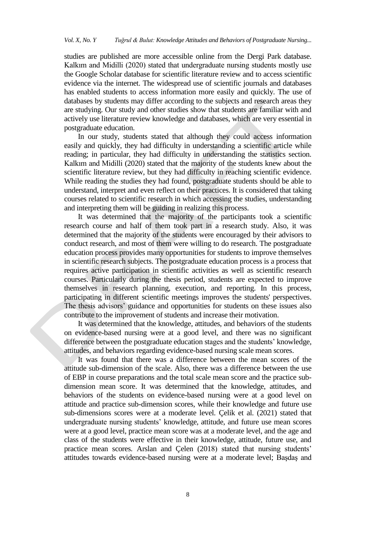studies are published are more accessible online from the Dergi Park database. Kalkım and Midilli (2020) stated that undergraduate nursing students mostly use the Google Scholar database for scientific literature review and to access scientific evidence via the internet. The widespread use of scientific journals and databases has enabled students to access information more easily and quickly. The use of databases by students may differ according to the subjects and research areas they are studying. Our study and other studies show that students are familiar with and actively use literature review knowledge and databases, which are very essential in postgraduate education.

In our study, students stated that although they could access information easily and quickly, they had difficulty in understanding a scientific article while reading; in particular, they had difficulty in understanding the statistics section. Kalkım and Midilli (2020) stated that the majority of the students knew about the scientific literature review, but they had difficulty in reaching scientific evidence. While reading the studies they had found, postgraduate students should be able to understand, interpret and even reflect on their practices. It is considered that taking courses related to scientific research in which accessing the studies, understanding and interpreting them will be guiding in realizing this process.

It was determined that the majority of the participants took a scientific research course and half of them took part in a research study. Also, it was determined that the majority of the students were encouraged by their advisors to conduct research, and most of them were willing to do research. The postgraduate education process provides many opportunities for students to improve themselves in scientific research subjects. The postgraduate education process is a process that requires active participation in scientific activities as well as scientific research courses. Particularly during the thesis period, students are expected to improve themselves in research planning, execution, and reporting. In this process, participating in different scientific meetings improves the students' perspectives. The thesis advisors' guidance and opportunities for students on these issues also contribute to the improvement of students and increase their motivation.

It was determined that the knowledge, attitudes, and behaviors of the students on evidence-based nursing were at a good level, and there was no significant difference between the postgraduate education stages and the students' knowledge, attitudes, and behaviors regarding evidence-based nursing scale mean scores.

It was found that there was a difference between the mean scores of the attitude sub-dimension of the scale. Also, there was a difference between the use of EBP in course preparations and the total scale mean score and the practice subdimension mean score. It was determined that the knowledge, attitudes, and behaviors of the students on evidence-based nursing were at a good level on attitude and practice sub-dimension scores, while their knowledge and future use sub-dimensions scores were at a moderate level. Çelik et al. (2021) stated that undergraduate nursing students' knowledge, attitude, and future use mean scores were at a good level, practice mean score was at a moderate level, and the age and class of the students were effective in their knowledge, attitude, future use, and practice mean scores. Arslan and Çelen (2018) stated that nursing students' attitudes towards evidence-based nursing were at a moderate level; Başdaş and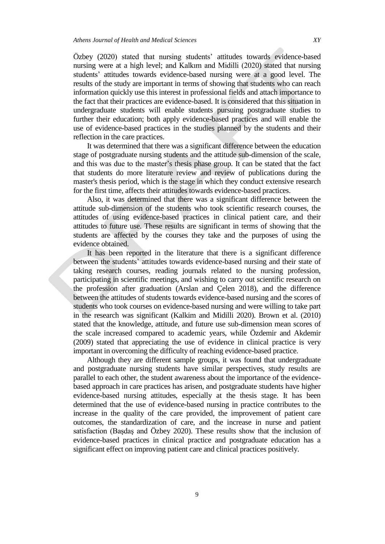Özbey (2020) stated that nursing students' attitudes towards evidence-based nursing were at a high level; and Kalkım and Midilli (2020) stated that nursing students' attitudes towards evidence-based nursing were at a good level. The results of the study are important in terms of showing that students who can reach information quickly use this interest in professional fields and attach importance to the fact that their practices are evidence-based. It is considered that this situation in undergraduate students will enable students pursuing postgraduate studies to further their education; both apply evidence-based practices and will enable the use of evidence-based practices in the studies planned by the students and their reflection in the care practices.

It was determined that there was a significant difference between the education stage of postgraduate nursing students and the attitude sub-dimension of the scale, and this was due to the master's thesis phase group. It can be stated that the fact that students do more literature review and review of publications during the master's thesis period, which is the stage in which they conduct extensive research for the first time, affects their attitudes towards evidence-based practices.

Also, it was determined that there was a significant difference between the attitude sub-dimension of the students who took scientific research courses, the attitudes of using evidence-based practices in clinical patient care, and their attitudes to future use. These results are significant in terms of showing that the students are affected by the courses they take and the purposes of using the evidence obtained.

It has been reported in the literature that there is a significant difference between the students' attitudes towards evidence-based nursing and their state of taking research courses, reading journals related to the nursing profession, participating in scientific meetings, and wishing to carry out scientific research on the profession after graduation (Arslan and Çelen 2018), and the difference between the attitudes of students towards evidence-based nursing and the scores of students who took courses on evidence-based nursing and were willing to take part in the research was significant (Kalkim and Midilli 2020). Brown et al. (2010) stated that the knowledge, attitude, and future use sub-dimension mean scores of the scale increased compared to academic years, while Özdemir and Akdemir (2009) stated that appreciating the use of evidence in clinical practice is very important in overcoming the difficulty of reaching evidence-based practice.

Although they are different sample groups, it was found that undergraduate and postgraduate nursing students have similar perspectives, study results are parallel to each other, the student awareness about the importance of the evidencebased approach in care practices has arisen, and postgraduate students have higher evidence-based nursing attitudes, especially at the thesis stage. It has been determined that the use of evidence-based nursing in practice contributes to the increase in the quality of the care provided, the improvement of patient care outcomes, the standardization of care, and the increase in nurse and patient satisfaction (Başdaş and Özbey 2020). These results show that the inclusion of evidence-based practices in clinical practice and postgraduate education has a significant effect on improving patient care and clinical practices positively.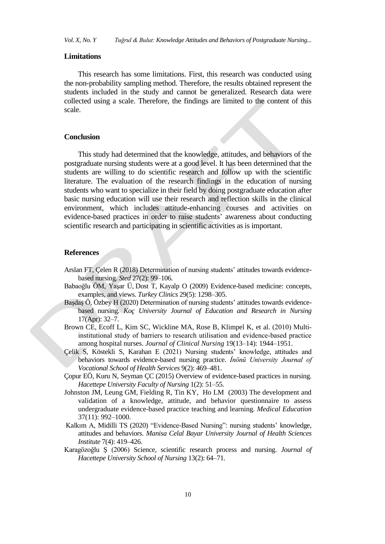*Vol. X, No. Y Tuğrul & Bulut: Knowledge Attitudes and Behaviors of Postgraduate Nursing...* 

#### **Limitations**

This research has some limitations. First, this research was conducted using the non-probability sampling method. Therefore, the results obtained represent the students included in the study and cannot be generalized. Research data were collected using a scale. Therefore, the findings are limited to the content of this scale.

## **Conclusion**

This study had determined that the knowledge, attitudes, and behaviors of the postgraduate nursing students were at a good level. It has been determined that the students are willing to do scientific research and follow up with the scientific literature. The evaluation of the research findings in the education of nursing students who want to specialize in their field by doing postgraduate education after basic nursing education will use their research and reflection skills in the clinical environment, which includes attitude-enhancing courses and activities on evidence-based practices in order to raise students' awareness about conducting scientific research and participating in scientific activities as is important.

# **References**

- Arslan FT, Çelen R (2018) Determination of nursing students' attitudes towards evidencebased nursing. *Sted* 27(2): 99–106.
- Babaoğlu ÖM, Yaşar Ü, Dost T, Kayalp O (2009) Evidence-based medicine: concepts, examples, and views. *Turkey Clinics* 29(5): 1298–305.
- Başdaş Ö, Özbey H (2020) Determination of nursing students' attitudes towards evidencebased nursing. *Koç University Journal of Education and Research in Nursing* 17(Apr): 32–7.
- Brown CE, Ecoff L, Kim SC, Wickline MA, Rose B, Klimpel K, et al. (2010) Multiinstitutional study of barriers to research utilisation and evidence-based practice among hospital nurses. *Journal of Clinical Nursing* 19(13–14): 1944–1951.
- Çelik S, Köstekli S, Karahan E (2021) Nursing students' knowledge, attitudes and behaviors towards evidence-based nursing practice. *İnönü University Journal of Vocational School of Health Services* 9(2): 469–481.
- Çopur EÖ, Kuru N, Seyman ÇC (2015) Overview of evidence-based practices in nursing. *Hacettepe University Faculty of Nursing* 1(2): 51–55.
- Johnston JM, Leung GM, Fielding R, Tin KY, Ho LM (2003) The development and validation of a knowledge, attitude, and behavior questionnaire to assess undergraduate evidence-based practice teaching and learning*. Medical Education* 37(11): 992–1000.
- Kalkım A, Midilli TS (2020) "Evidence-Based Nursing": nursing students' knowledge, attitudes and behaviors. *Manisa Celal Bayar University Journal of Health Sciences Institute* 7(4): 419–426.
- Karagözoğlu Ş (2006) Science, scientific research process and nursing. *Journal of Hacettepe University School of Nursing* 13(2): 64–71.